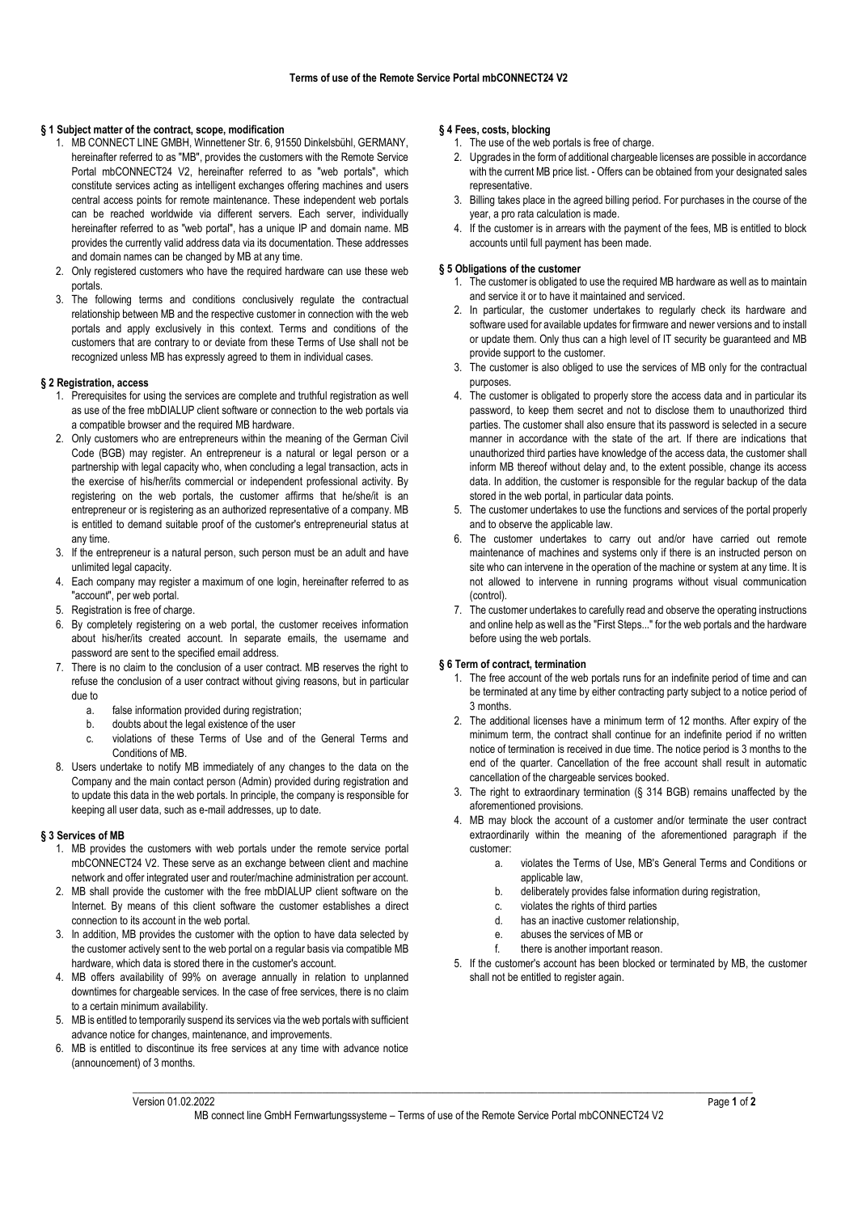# **§ 1 Subject matter of the contract, scope, modification**

- 1. MB CONNECT LINE GMBH, Winnettener Str. 6, 91550 Dinkelsbühl, GERMANY, hereinafter referred to as "MB", provides the customers with the Remote Service Portal mbCONNECT24 V2, hereinafter referred to as "web portals", which constitute services acting as intelligent exchanges offering machines and users central access points for remote maintenance. These independent web portals can be reached worldwide via different servers. Each server, individually hereinafter referred to as "web portal", has a unique IP and domain name. MB provides the currently valid address data via its documentation. These addresses and domain names can be changed by MB at any time.
- 2. Only registered customers who have the required hardware can use these web portals.
- The following terms and conditions conclusively regulate the contractual relationship between MB and the respective customer in connection with the web portals and apply exclusively in this context. Terms and conditions of the customers that are contrary to or deviate from these Terms of Use shall not be recognized unless MB has expressly agreed to them in individual cases.

#### **§ 2 Registration, access**

- 1. Prerequisites for using the services are complete and truthful registration as well as use of the free mbDIALUP client software or connection to the web portals via a compatible browser and the required MB hardware.
- 2. Only customers who are entrepreneurs within the meaning of the German Civil Code (BGB) may register. An entrepreneur is a natural or legal person or a partnership with legal capacity who, when concluding a legal transaction, acts in the exercise of his/her/its commercial or independent professional activity. By registering on the web portals, the customer affirms that he/she/it is an entrepreneur or is registering as an authorized representative of a company. MB is entitled to demand suitable proof of the customer's entrepreneurial status at any time.
- 3. If the entrepreneur is a natural person, such person must be an adult and have unlimited legal capacity.
- 4. Each company may register a maximum of one login, hereinafter referred to as "account", per web portal.
- 5. Registration is free of charge.
- 6. By completely registering on a web portal, the customer receives information about his/her/its created account. In separate emails, the username and password are sent to the specified email address.
- 7. There is no claim to the conclusion of a user contract. MB reserves the right to refuse the conclusion of a user contract without giving reasons, but in particular due to
	- a. false information provided during registration;
	- b. doubts about the legal existence of the user
	- c. violations of these Terms of Use and of the General Terms and Conditions of MB.
- 8. Users undertake to notify MB immediately of any changes to the data on the Company and the main contact person (Admin) provided during registration and to update this data in the web portals. In principle, the company is responsible for keeping all user data, such as e-mail addresses, up to date.

## **§ 3 Services of MB**

- 1. MB provides the customers with web portals under the remote service portal mbCONNECT24 V2. These serve as an exchange between client and machine network and offer integrated user and router/machine administration per account.
- 2. MB shall provide the customer with the free mbDIALUP client software on the Internet. By means of this client software the customer establishes a direct connection to its account in the web portal.
- 3. In addition, MB provides the customer with the option to have data selected by the customer actively sent to the web portal on a regular basis via compatible MB hardware, which data is stored there in the customer's account.
- 4. MB offers availability of 99% on average annually in relation to unplanned downtimes for chargeable services. In the case of free services, there is no claim to a certain minimum availability.
- 5. MB is entitled to temporarily suspend its services via the web portals with sufficient advance notice for changes, maintenance, and improvements.
- 6. MB is entitled to discontinue its free services at any time with advance notice (announcement) of 3 months.

# **§ 4 Fees, costs, blocking**

- 1. The use of the web portals is free of charge.
- 2. Upgrades in the form of additional chargeable licenses are possible in accordance with the current MB price list. - Offers can be obtained from your designated sales representative.
- 3. Billing takes place in the agreed billing period. For purchases in the course of the year, a pro rata calculation is made.
- 4. If the customer is in arrears with the payment of the fees, MB is entitled to block accounts until full payment has been made.

## **§ 5 Obligations of the customer**

- 1. The customer is obligated to use the required MB hardware as well as to maintain and service it or to have it maintained and serviced.
- 2. In particular, the customer undertakes to regularly check its hardware and software used for available updates for firmware and newer versions and to install or update them. Only thus can a high level of IT security be guaranteed and MB provide support to the customer.
- 3. The customer is also obliged to use the services of MB only for the contractual purposes.
- 4. The customer is obligated to properly store the access data and in particular its password, to keep them secret and not to disclose them to unauthorized third parties. The customer shall also ensure that its password is selected in a secure manner in accordance with the state of the art. If there are indications that unauthorized third parties have knowledge of the access data, the customer shall inform MB thereof without delay and, to the extent possible, change its access data. In addition, the customer is responsible for the regular backup of the data stored in the web portal, in particular data points.
- 5. The customer undertakes to use the functions and services of the portal properly and to observe the applicable law.
- 6. The customer undertakes to carry out and/or have carried out remote maintenance of machines and systems only if there is an instructed person on site who can intervene in the operation of the machine or system at any time. It is not allowed to intervene in running programs without visual communication (control).
- 7. The customer undertakes to carefully read and observe the operating instructions and online help as well as the "First Steps..." for the web portals and the hardware before using the web portals.

# **§ 6 Term of contract, termination**

- 1. The free account of the web portals runs for an indefinite period of time and can be terminated at any time by either contracting party subject to a notice period of 3 months.
- 2. The additional licenses have a minimum term of 12 months. After expiry of the minimum term, the contract shall continue for an indefinite period if no written notice of termination is received in due time. The notice period is 3 months to the end of the quarter. Cancellation of the free account shall result in automatic cancellation of the chargeable services booked.
- 3. The right to extraordinary termination (§ 314 BGB) remains unaffected by the aforementioned provisions.
- 4. MB may block the account of a customer and/or terminate the user contract extraordinarily within the meaning of the aforementioned paragraph if the customer:
	- a. violates the Terms of Use, MB's General Terms and Conditions or applicable law
	- b. deliberately provides false information during registration,
	- c. violates the rights of third parties
	- d. has an inactive customer relationship,
	- e. abuses the services of MB or
	- f. there is another important reason.
- 5. If the customer's account has been blocked or terminated by MB, the customer shall not be entitled to register again.

\_\_\_\_\_\_\_\_\_\_\_\_\_\_\_\_\_\_\_\_\_\_\_\_\_\_\_\_\_\_\_\_\_\_\_\_\_\_\_\_\_\_\_\_\_\_\_\_\_\_\_\_\_\_\_\_\_\_\_\_\_\_\_\_\_\_\_\_\_\_\_\_\_\_\_\_\_\_\_\_\_\_\_\_\_\_\_\_\_\_\_\_\_\_\_\_\_\_\_\_\_\_\_\_\_\_\_\_\_\_\_\_\_\_\_\_\_\_